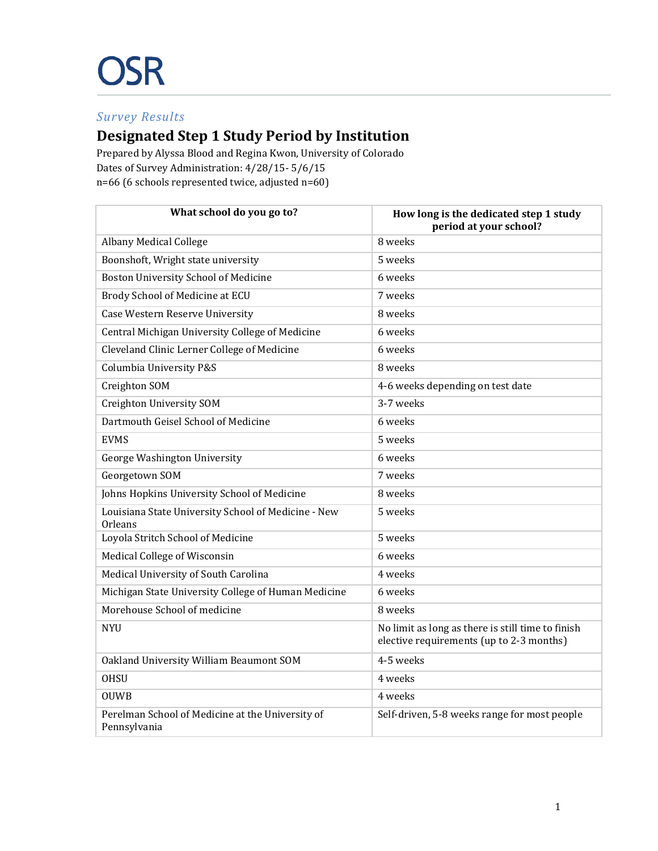## *Survey Results*

## **Designated Step 1 Study Period by Institution**

Prepared by Alyssa Blood and Regina Kwon, University of Colorado Dates of Survey Administration: 4/28/15- 5/6/15 n=66 (6 schools represented twice, adjusted n=60)

| What school do you go to?                                        | How long is the dedicated step 1 study<br>period at your school?                              |
|------------------------------------------------------------------|-----------------------------------------------------------------------------------------------|
| <b>Albany Medical College</b>                                    | 8 weeks                                                                                       |
| Boonshoft, Wright state university                               | 5 weeks                                                                                       |
| Boston University School of Medicine                             | 6 weeks                                                                                       |
| Brody School of Medicine at ECU                                  | 7 weeks                                                                                       |
| <b>Case Western Reserve University</b>                           | 8 weeks                                                                                       |
| Central Michigan University College of Medicine                  | 6 weeks                                                                                       |
| Cleveland Clinic Lerner College of Medicine                      | 6 weeks                                                                                       |
| Columbia University P&S                                          | 8 weeks                                                                                       |
| Creighton SOM                                                    | 4-6 weeks depending on test date                                                              |
| Creighton University SOM                                         | 3-7 weeks                                                                                     |
| Dartmouth Geisel School of Medicine                              | 6 weeks                                                                                       |
| <b>EVMS</b>                                                      | 5 weeks                                                                                       |
| George Washington University                                     | 6 weeks                                                                                       |
| Georgetown SOM                                                   | 7 weeks                                                                                       |
| Johns Hopkins University School of Medicine                      | 8 weeks                                                                                       |
| Louisiana State University School of Medicine - New<br>Orleans   | 5 weeks                                                                                       |
| Loyola Stritch School of Medicine                                | 5 weeks                                                                                       |
| Medical College of Wisconsin                                     | 6 weeks                                                                                       |
| Medical University of South Carolina                             | 4 weeks                                                                                       |
| Michigan State University College of Human Medicine              | 6 weeks                                                                                       |
| Morehouse School of medicine                                     | 8 weeks                                                                                       |
| <b>NYU</b>                                                       | No limit as long as there is still time to finish<br>elective requirements (up to 2-3 months) |
| Oakland University William Beaumont SOM                          | 4-5 weeks                                                                                     |
| <b>OHSU</b>                                                      | 4 weeks                                                                                       |
| <b>OUWB</b>                                                      | 4 weeks                                                                                       |
| Perelman School of Medicine at the University of<br>Pennsylvania | Self-driven, 5-8 weeks range for most people                                                  |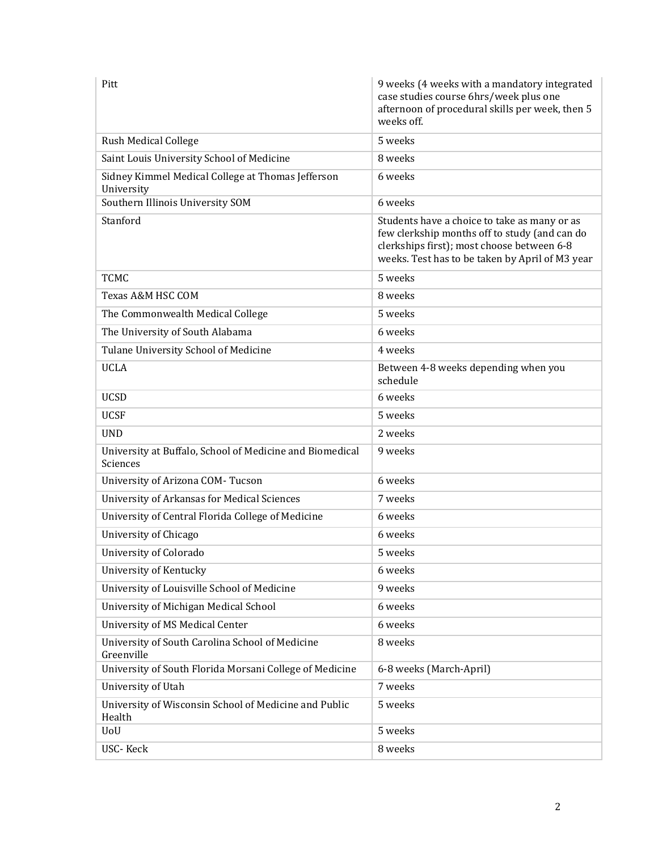| Pitt                                                                 | 9 weeks (4 weeks with a mandatory integrated<br>case studies course 6hrs/week plus one<br>afternoon of procedural skills per week, then 5<br>weeks off.                                        |
|----------------------------------------------------------------------|------------------------------------------------------------------------------------------------------------------------------------------------------------------------------------------------|
| <b>Rush Medical College</b>                                          | 5 weeks                                                                                                                                                                                        |
| Saint Louis University School of Medicine                            | 8 weeks                                                                                                                                                                                        |
| Sidney Kimmel Medical College at Thomas Jefferson<br>University      | 6 weeks                                                                                                                                                                                        |
| Southern Illinois University SOM                                     | 6 weeks                                                                                                                                                                                        |
| Stanford                                                             | Students have a choice to take as many or as<br>few clerkship months off to study (and can do<br>clerkships first); most choose between 6-8<br>weeks. Test has to be taken by April of M3 year |
| <b>TCMC</b>                                                          | 5 weeks                                                                                                                                                                                        |
| Texas A&M HSC COM                                                    | 8 weeks                                                                                                                                                                                        |
| The Commonwealth Medical College                                     | 5 weeks                                                                                                                                                                                        |
| The University of South Alabama                                      | 6 weeks                                                                                                                                                                                        |
| Tulane University School of Medicine                                 | 4 weeks                                                                                                                                                                                        |
| <b>UCLA</b>                                                          | Between 4-8 weeks depending when you<br>schedule                                                                                                                                               |
| <b>UCSD</b>                                                          | 6 weeks                                                                                                                                                                                        |
| <b>UCSF</b>                                                          | 5 weeks                                                                                                                                                                                        |
| <b>UND</b>                                                           | 2 weeks                                                                                                                                                                                        |
| University at Buffalo, School of Medicine and Biomedical<br>Sciences | 9 weeks                                                                                                                                                                                        |
| University of Arizona COM-Tucson                                     | 6 weeks                                                                                                                                                                                        |
| <b>University of Arkansas for Medical Sciences</b>                   | 7 weeks                                                                                                                                                                                        |
| University of Central Florida College of Medicine                    | 6 weeks                                                                                                                                                                                        |
| University of Chicago                                                | 6 weeks                                                                                                                                                                                        |
| University of Colorado                                               | 5 weeks                                                                                                                                                                                        |
| University of Kentucky                                               | 6 weeks                                                                                                                                                                                        |
| University of Louisville School of Medicine                          | 9 weeks                                                                                                                                                                                        |
| University of Michigan Medical School                                | 6 weeks                                                                                                                                                                                        |
| University of MS Medical Center                                      | 6 weeks                                                                                                                                                                                        |
| University of South Carolina School of Medicine<br>Greenville        | 8 weeks                                                                                                                                                                                        |
| University of South Florida Morsani College of Medicine              | 6-8 weeks (March-April)                                                                                                                                                                        |
| University of Utah                                                   | 7 weeks                                                                                                                                                                                        |
| University of Wisconsin School of Medicine and Public<br>Health      | 5 weeks                                                                                                                                                                                        |
| UoU                                                                  | 5 weeks                                                                                                                                                                                        |
| USC-Keck                                                             | 8 weeks                                                                                                                                                                                        |